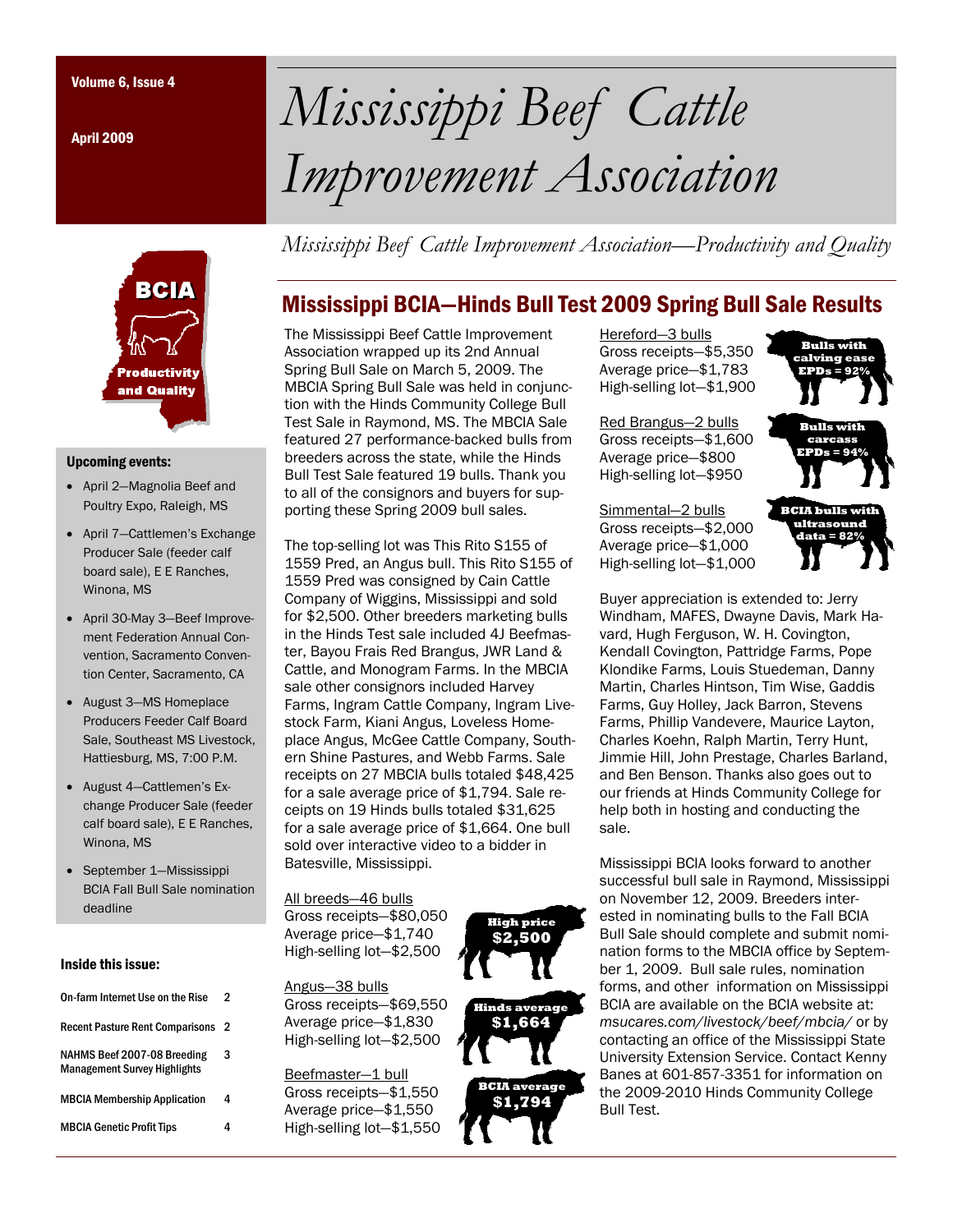April 2009



#### Upcoming events:

- April 2—Magnolia Beef and Poultry Expo, Raleigh, MS
- April 7—Cattlemen's Exchange Producer Sale (feeder calf board sale), E E Ranches, Winona, MS
- April 30-May 3—Beef Improvement Federation Annual Convention, Sacramento Convention Center, Sacramento, CA
- August 3—MS Homeplace Producers Feeder Calf Board Sale, Southeast MS Livestock, Hattiesburg, MS, 7:00 P.M.
- August 4—Cattlemen's Exchange Producer Sale (feeder calf board sale), E E Ranches, Winona, MS
- September 1—Mississippi BCIA Fall Bull Sale nomination deadline

#### Inside this issue:

| On-farm Internet Use on the Rise                                   | 2 |
|--------------------------------------------------------------------|---|
| <b>Recent Pasture Rent Comparisons</b>                             | 2 |
| NAHMS Beef 2007-08 Breeding<br><b>Management Survey Highlights</b> | 3 |
| <b>MBCIA Membership Application</b>                                | 4 |
| <b>MBCIA Genetic Profit Tips</b>                                   |   |
|                                                                    |   |

# Volume 6, Issue 4 *Mississippi Beef Cattle Improvement Association*

*Mississippi Beef Cattle Improvement Association—Productivity and Quality* 

## Mississippi BCIA—Hinds Bull Test 2009 Spring Bull Sale Results

The Mississippi Beef Cattle Improvement Association wrapped up its 2nd Annual Spring Bull Sale on March 5, 2009. The MBCIA Spring Bull Sale was held in conjunction with the Hinds Community College Bull Test Sale in Raymond, MS. The MBCIA Sale featured 27 performance-backed bulls from breeders across the state, while the Hinds Bull Test Sale featured 19 bulls. Thank you to all of the consignors and buyers for supporting these Spring 2009 bull sales.

The top-selling lot was This Rito S155 of 1559 Pred, an Angus bull. This Rito S155 of 1559 Pred was consigned by Cain Cattle Company of Wiggins, Mississippi and sold for \$2,500. Other breeders marketing bulls in the Hinds Test sale included 4J Beefmaster, Bayou Frais Red Brangus, JWR Land & Cattle, and Monogram Farms. In the MBCIA sale other consignors included Harvey Farms, Ingram Cattle Company, Ingram Livestock Farm, Kiani Angus, Loveless Homeplace Angus, McGee Cattle Company, Southern Shine Pastures, and Webb Farms. Sale receipts on 27 MBCIA bulls totaled \$48,425 for a sale average price of \$1,794. Sale receipts on 19 Hinds bulls totaled \$31,625 for a sale average price of \$1,664. One bull sold over interactive video to a bidder in Batesville, Mississippi.

All breeds—46 bulls Gross receipts—\$80,050 Average price—\$1,740 High-selling lot—\$2,500

Angus—38 bulls Gross receipts—\$69,550

Average price—\$1,830 High-selling lot—\$2,500

Beefmaster—1 bull Gross receipts—\$1,550 Average price—\$1,550 High-selling lot—\$1,550



**Hinds average \$1,664 BCIA average \$1,794**

Hereford—3 bulls Gross receipts—\$5,350 Average price—\$1,783 High-selling lot—\$1,900

Red Brangus—2 bulls Gross receipts—\$1,600 Average price—\$800 High-selling lot—\$950

Simmental—2 bulls Gross receipts—\$2,000 Average price—\$1,000 High-selling lot—\$1,000



Buyer appreciation is extended to: Jerry Windham, MAFES, Dwayne Davis, Mark Havard, Hugh Ferguson, W. H. Covington, Kendall Covington, Pattridge Farms, Pope Klondike Farms, Louis Stuedeman, Danny Martin, Charles Hintson, Tim Wise, Gaddis Farms, Guy Holley, Jack Barron, Stevens Farms, Phillip Vandevere, Maurice Layton, Charles Koehn, Ralph Martin, Terry Hunt, Jimmie Hill, John Prestage, Charles Barland, and Ben Benson. Thanks also goes out to our friends at Hinds Community College for help both in hosting and conducting the sale.

Mississippi BCIA looks forward to another successful bull sale in Raymond, Mississippi on November 12, 2009. Breeders interested in nominating bulls to the Fall BCIA Bull Sale should complete and submit nomination forms to the MBCIA office by September 1, 2009. Bull sale rules, nomination forms, and other information on Mississippi BCIA are available on the BCIA website at: *msucares.com/livestock/beef/mbcia/* or by contacting an office of the Mississippi State University Extension Service. Contact Kenny Banes at 601-857-3351 for information on the 2009-2010 Hinds Community College Bull Test.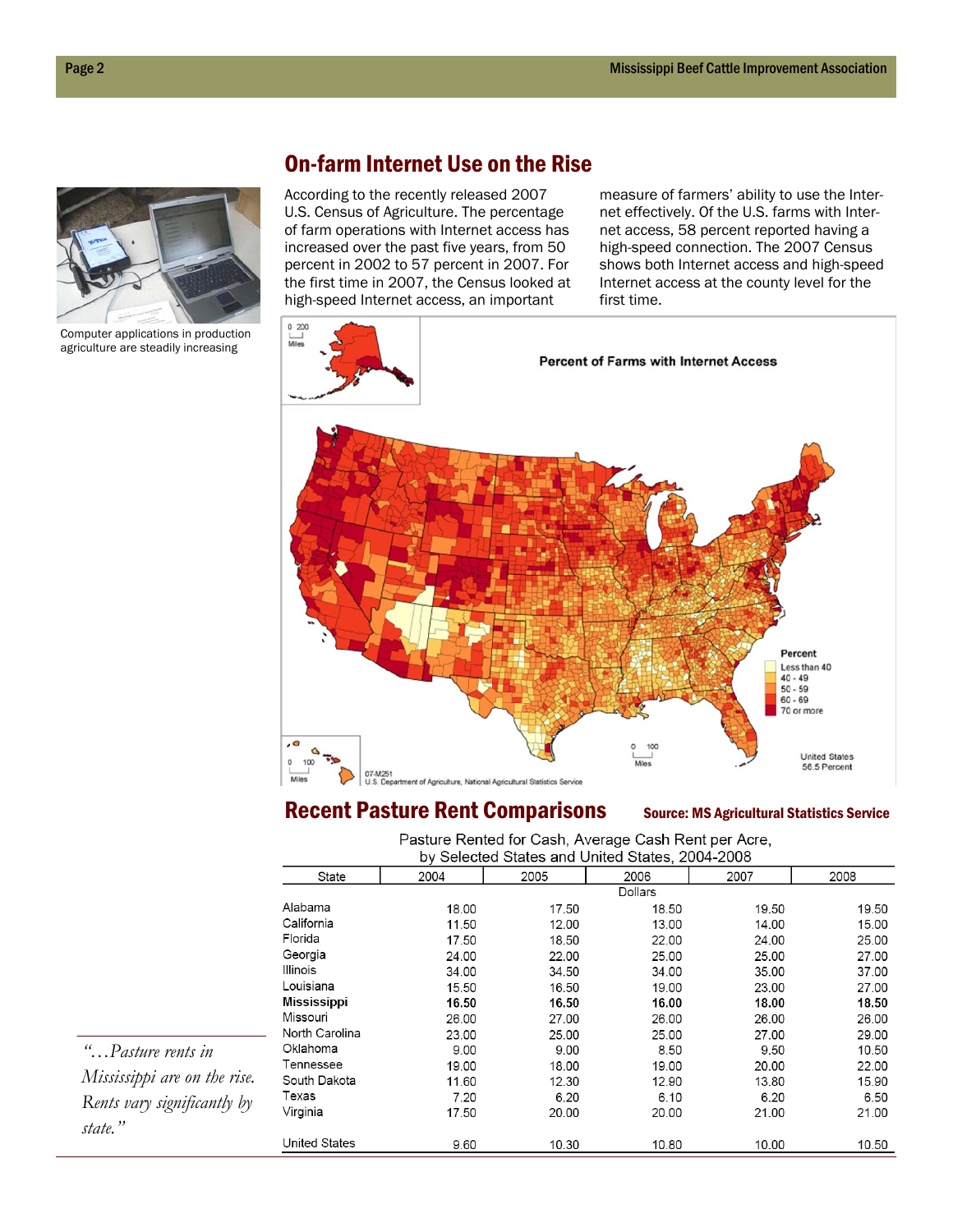

Computer applications in production agriculture are steadily increasing

#### On-farm Internet Use on the Rise

According to the recently released 2007 U.S. Census of Agriculture. The percentage of farm operations with Internet access has increased over the past five years, from 50 percent in 2002 to 57 percent in 2007. For the first time in 2007, the Census looked at high-speed Internet access, an important

measure of farmers' ability to use the Internet effectively. Of the U.S. farms with Internet access, 58 percent reported having a high-speed connection. The 2007 Census shows both Internet access and high-speed Internet access at the county level for the first time.



#### Recent Pasture Rent Comparisons Source: MS Agricultural Statistics Service

Pasture Rented for Cash, Average Cash Rent per Acre, by Selected States and United States, 2004-2008

| $\sim$<br>$\frac{1}{2}$ and $\frac{1}{2}$ and $\frac{1}{2}$ and $\frac{1}{2}$ and $\frac{1}{2}$ and $\frac{1}{2}$ and $\frac{1}{2}$ and $\frac{1}{2}$ and $\frac{1}{2}$ and $\frac{1}{2}$ and $\frac{1}{2}$ and $\frac{1}{2}$ and $\frac{1}{2}$ and $\frac{1}{2}$ and $\frac{1}{2}$ and $\frac{1}{2}$ a |       |       |         |       |       |  |  |
|---------------------------------------------------------------------------------------------------------------------------------------------------------------------------------------------------------------------------------------------------------------------------------------------------------|-------|-------|---------|-------|-------|--|--|
| State                                                                                                                                                                                                                                                                                                   | 2004  | 2005  | 2006    | 2007  | 2008  |  |  |
|                                                                                                                                                                                                                                                                                                         |       |       | Dollars |       |       |  |  |
| Alabama                                                                                                                                                                                                                                                                                                 | 18.00 | 17.50 | 18.50   | 19.50 | 19.50 |  |  |
| California                                                                                                                                                                                                                                                                                              | 11.50 | 12.00 | 13.00   | 14.00 | 15.00 |  |  |
| Florida                                                                                                                                                                                                                                                                                                 | 17.50 | 18.50 | 22.00   | 24.00 | 25.00 |  |  |
| Georgia                                                                                                                                                                                                                                                                                                 | 24.00 | 22.00 | 25.00   | 25.00 | 27.00 |  |  |
| Illinois                                                                                                                                                                                                                                                                                                | 34.00 | 34.50 | 34.00   | 35.00 | 37.00 |  |  |
| Louisiana                                                                                                                                                                                                                                                                                               | 15.50 | 16.50 | 19.00   | 23.00 | 27.00 |  |  |
| <b>Mississippi</b>                                                                                                                                                                                                                                                                                      | 16.50 | 16.50 | 16.00   | 18.00 | 18.50 |  |  |
| Missouri                                                                                                                                                                                                                                                                                                | 26.00 | 27.00 | 26.00   | 26.00 | 26.00 |  |  |
| North Carolina                                                                                                                                                                                                                                                                                          | 23.00 | 25.00 | 25.00   | 27.00 | 29.00 |  |  |
| Oklahoma                                                                                                                                                                                                                                                                                                | 9.00  | 9.00  | 8.50    | 9.50  | 10.50 |  |  |
| Tennessee                                                                                                                                                                                                                                                                                               | 19.00 | 18.00 | 19.00   | 20.00 | 22.00 |  |  |
| South Dakota                                                                                                                                                                                                                                                                                            | 11.60 | 12.30 | 12.90   | 13.80 | 15.90 |  |  |
| Texas                                                                                                                                                                                                                                                                                                   | 7.20  | 6.20  | 6.10    | 6.20  | 6.50  |  |  |
| Virginia                                                                                                                                                                                                                                                                                                | 17.50 | 20.00 | 20.00   | 21.00 | 21.00 |  |  |
| United States                                                                                                                                                                                                                                                                                           | 9.60  | 10.30 | 10.80   | 10.00 | 10.50 |  |  |

*"…Pasture rents in Mississippi are on the rise. Rents vary significantly by state."*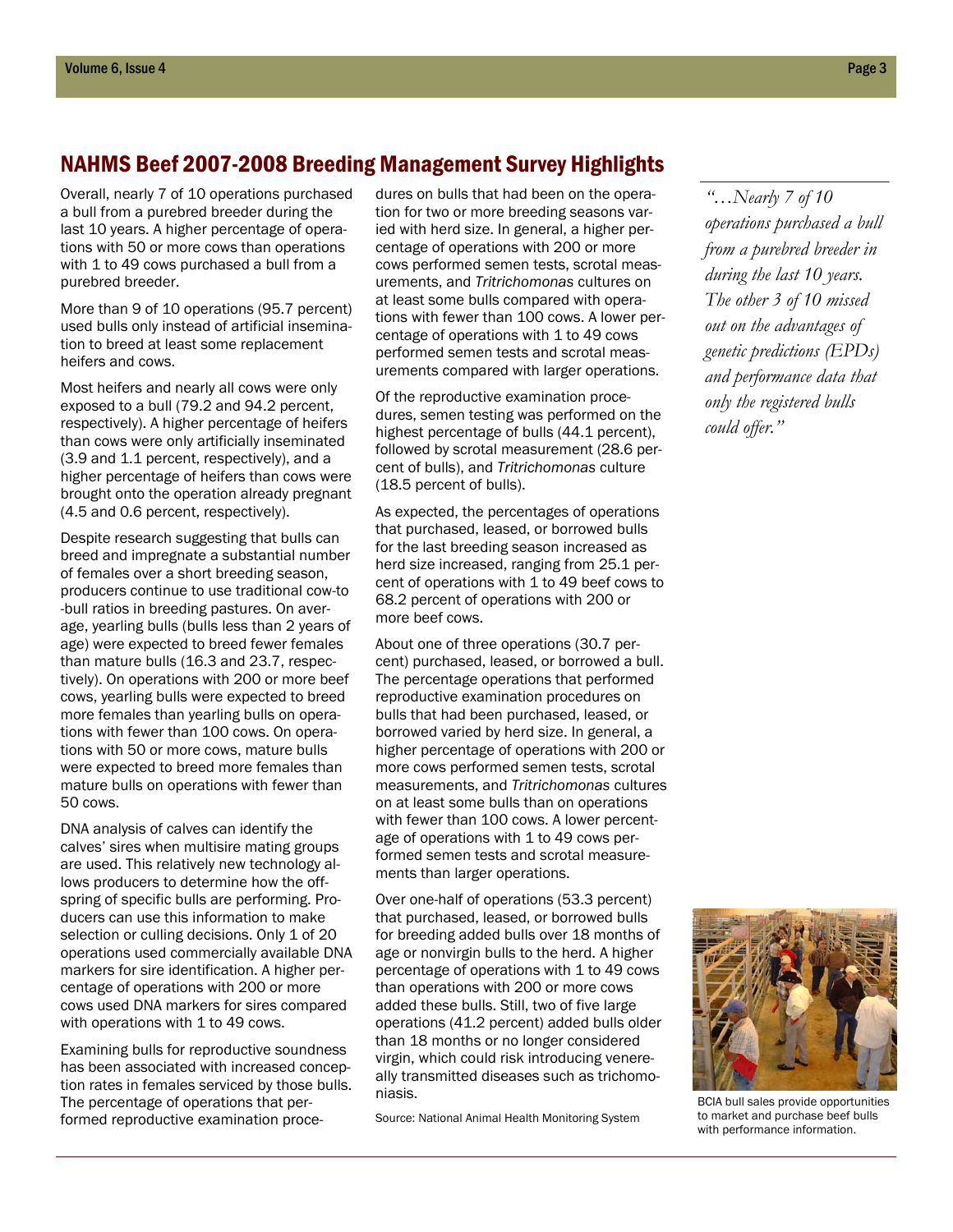#### NAHMS Beef 2007-2008 Breeding Management Survey Highlights

Overall, nearly 7 of 10 operations purchased a bull from a purebred breeder during the last 10 years. A higher percentage of operations with 50 or more cows than operations with 1 to 49 cows purchased a bull from a purebred breeder.

More than 9 of 10 operations (95.7 percent) used bulls only instead of artificial insemination to breed at least some replacement heifers and cows.

Most heifers and nearly all cows were only exposed to a bull (79.2 and 94.2 percent, respectively). A higher percentage of heifers than cows were only artificially inseminated (3.9 and 1.1 percent, respectively), and a higher percentage of heifers than cows were brought onto the operation already pregnant (4.5 and 0.6 percent, respectively).

Despite research suggesting that bulls can breed and impregnate a substantial number of females over a short breeding season, producers continue to use traditional cow-to -bull ratios in breeding pastures. On average, yearling bulls (bulls less than 2 years of age) were expected to breed fewer females than mature bulls (16.3 and 23.7, respectively). On operations with 200 or more beef cows, yearling bulls were expected to breed more females than yearling bulls on operations with fewer than 100 cows. On operations with 50 or more cows, mature bulls were expected to breed more females than mature bulls on operations with fewer than 50 cows.

DNA analysis of calves can identify the calves' sires when multisire mating groups are used. This relatively new technology allows producers to determine how the offspring of specific bulls are performing. Producers can use this information to make selection or culling decisions. Only 1 of 20 operations used commercially available DNA markers for sire identification. A higher percentage of operations with 200 or more cows used DNA markers for sires compared with operations with 1 to 49 cows.

Examining bulls for reproductive soundness has been associated with increased conception rates in females serviced by those bulls. The percentage of operations that performed reproductive examination procedures on bulls that had been on the operation for two or more breeding seasons varied with herd size. In general, a higher percentage of operations with 200 or more cows performed semen tests, scrotal measurements, and *Tritrichomonas* cultures on at least some bulls compared with operations with fewer than 100 cows. A lower percentage of operations with 1 to 49 cows performed semen tests and scrotal measurements compared with larger operations.

Of the reproductive examination procedures, semen testing was performed on the highest percentage of bulls (44.1 percent), followed by scrotal measurement (28.6 percent of bulls), and *Tritrichomonas* culture (18.5 percent of bulls).

As expected, the percentages of operations that purchased, leased, or borrowed bulls for the last breeding season increased as herd size increased, ranging from 25.1 percent of operations with 1 to 49 beef cows to 68.2 percent of operations with 200 or more beef cows.

About one of three operations (30.7 percent) purchased, leased, or borrowed a bull. The percentage operations that performed reproductive examination procedures on bulls that had been purchased, leased, or borrowed varied by herd size. In general, a higher percentage of operations with 200 or more cows performed semen tests, scrotal measurements, and *Tritrichomonas* cultures on at least some bulls than on operations with fewer than 100 cows. A lower percentage of operations with 1 to 49 cows performed semen tests and scrotal measurements than larger operations.

Over one-half of operations (53.3 percent) that purchased, leased, or borrowed bulls for breeding added bulls over 18 months of age or nonvirgin bulls to the herd. A higher percentage of operations with 1 to 49 cows than operations with 200 or more cows added these bulls. Still, two of five large operations (41.2 percent) added bulls older than 18 months or no longer considered virgin, which could risk introducing venereally transmitted diseases such as trichomoniasis.

Source: National Animal Health Monitoring System

*"…Nearly 7 of 10 operations purchased a bull from a purebred breeder in during the last 10 years. The other 3 of 10 missed out on the advantages of genetic predictions (EPDs) and performance data that only the registered bulls could offer."*